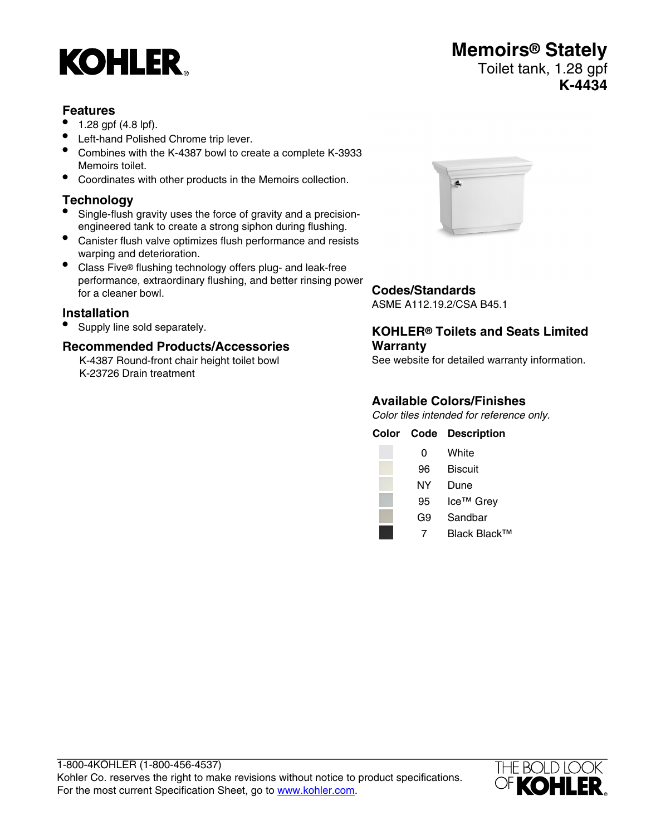# **KOHLER**

#### **Features**

- 1.28 gpf (4.8 lpf).
- Left-hand Polished Chrome trip lever.
- Combines with the K-4387 bowl to create a complete K-3933 Memoirs toilet.
- Coordinates with other products in the Memoirs collection.

## **Technology**<br>● Single-flush

- Single-flush gravity uses the force of gravity and a precisionengineered tank to create a strong siphon during flushing.
- Canister flush valve optimizes flush performance and resists warping and deterioration.
- Class Five® flushing technology offers plug- and leak-free performance, extraordinary flushing, and better rinsing power for a cleaner bowl.

#### **Installation**

• Supply line sold separately.

#### **Recommended Products/Accessories**

K-4387 Round-front chair height toilet bowl K-23726 Drain treatment



#### **Codes/Standards**

ASME A112.19.2/CSA B45.1

#### **KOHLER® Toilets and Seats Limited Warranty**

See website for detailed warranty information.

#### **Available Colors/Finishes**

Color tiles intended for reference only.

|    | <b>Color Code Description</b> |
|----|-------------------------------|
| 0  | White                         |
| 96 | <b>Biscuit</b>                |
| NΥ | Dune                          |
| 95 | Ice <sup>™</sup> Grey         |
| G9 | Sandbar                       |
|    | Black Black™                  |



**Memoirs® Stately** Toilet tank, 1.28 gpf **K-4434**